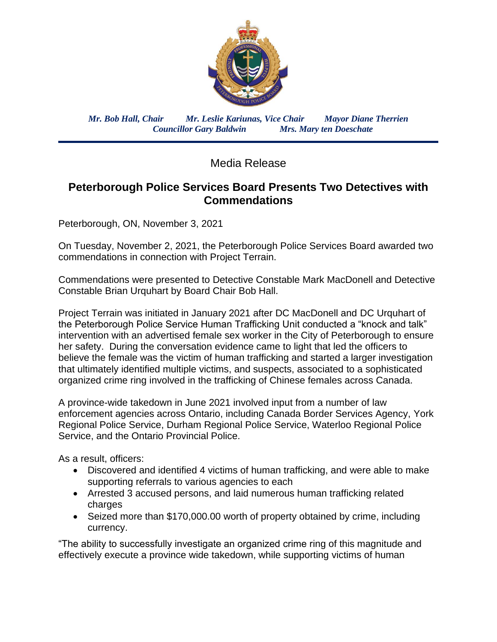

*Mr. Bob Hall, Chair Mr. Leslie Kariunas, Vice Chair Mayor Diane Therrien Councillor Gary Baldwin Mrs. Mary ten Doeschate*

Media Release

## **Peterborough Police Services Board Presents Two Detectives with Commendations**

Peterborough, ON, November 3, 2021

On Tuesday, November 2, 2021, the Peterborough Police Services Board awarded two commendations in connection with Project Terrain.

Commendations were presented to Detective Constable Mark MacDonell and Detective Constable Brian Urquhart by Board Chair Bob Hall.

Project Terrain was initiated in January 2021 after DC MacDonell and DC Urquhart of the Peterborough Police Service Human Trafficking Unit conducted a "knock and talk" intervention with an advertised female sex worker in the City of Peterborough to ensure her safety. During the conversation evidence came to light that led the officers to believe the female was the victim of human trafficking and started a larger investigation that ultimately identified multiple victims, and suspects, associated to a sophisticated organized crime ring involved in the trafficking of Chinese females across Canada.

A province-wide takedown in June 2021 involved input from a number of law enforcement agencies across Ontario, including Canada Border Services Agency, York Regional Police Service, Durham Regional Police Service, Waterloo Regional Police Service, and the Ontario Provincial Police.

As a result, officers:

- Discovered and identified 4 victims of human trafficking, and were able to make supporting referrals to various agencies to each
- Arrested 3 accused persons, and laid numerous human trafficking related charges
- Seized more than \$170,000.00 worth of property obtained by crime, including currency.

"The ability to successfully investigate an organized crime ring of this magnitude and effectively execute a province wide takedown, while supporting victims of human